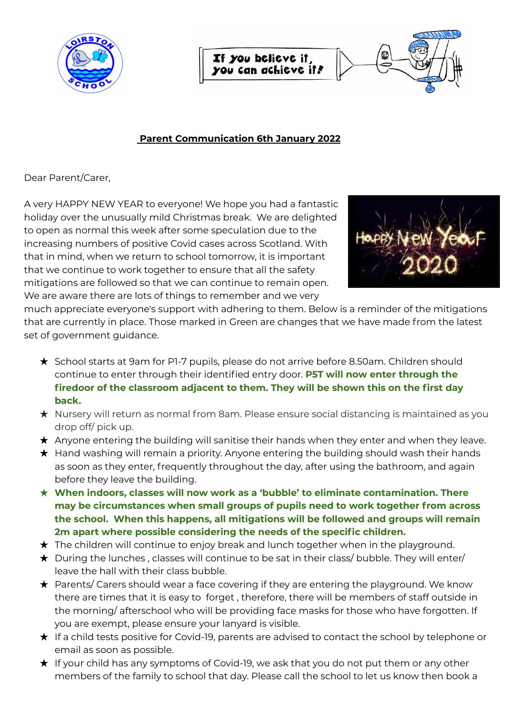

If you believe it. you can achieve it!

## **Parent Communication 6th January 2022**

Dear Parent/Carer,

A very HAPPY NEW YEAR to everyone! We hope you had a fantastic holiday over the unusually mild Christmas break. We are delighted to open as normal this week after some speculation due to the increasing numbers of positive Covid cases across Scotland. With that in mind, when we return to school tomorrow, it is important that we continue to work together to ensure that all the safety mitigations are followed so that we can continue to remain open. We are aware there are lots of things to remember and we very



much appreciate everyone's support with adhering to them. Below is a reminder of the mitigations that are currently in place. Those marked in Green are changes that we have made from the latest set of government guidance.

- ★ School starts at 9am for P1-7 pupils, please do not arrive before 8.50am. Children should continue to enter through their identified entry door. **P5T will now enter through the firedoor of the classroom adjacent to them. They will be shown this on the first day back.**
- ★ Nursery will return as normal from 8am. Please ensure social distancing is maintained as you drop off/ pick up.
- **★** Anyone entering the building will sanitise their hands when they enter and when they leave.
- ★ Hand washing will remain a priority. Anyone entering the building should wash their hands as soon as they enter, frequently throughout the day, after using the bathroom, and again before they leave the building.
- ★ **When indoors, classes will now work as a 'bubble' to eliminate contamination. There may be circumstances when small groups of pupils need to work together from across the school. When this happens, all mitigations will be followed and groups will remain 2m apart where possible considering the needs of the specific children.**
- $\star$  The children will continue to enjoy break and lunch together when in the playground.
- $\star$  During the lunches, classes will continue to be sat in their class/ bubble. They will enter/ leave the hall with their class bubble.
- $\star$  Parents/ Carers should wear a face covering if they are entering the playground. We know there are times that it is easy to forget , therefore, there will be members of staff outside in the morning/ afterschool who will be providing face masks for those who have forgotten. If you are exempt, please ensure your lanyard is visible.
- ★ If a child tests positive for Covid-19, parents are advised to contact the school by telephone or email as soon as possible.
- ★ If your child has any symptoms of Covid-19, we ask that you do not put them or any other members of the family to school that day. Please call the school to let us know then book a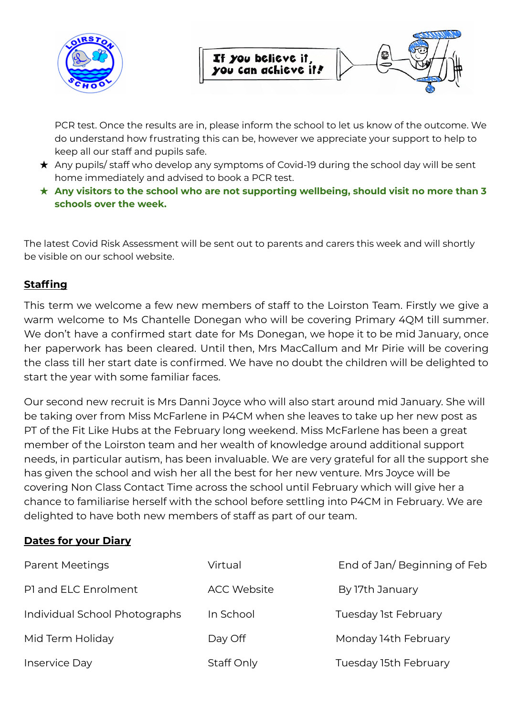

PCR test. Once the results are in, please inform the school to let us know of the outcome. We do understand how frustrating this can be, however we appreciate your support to help to keep all our staff and pupils safe.

- ★ Any pupils/ staff who develop any symptoms of Covid-19 during the school day will be sent home immediately and advised to book a PCR test.
- ★ **Any visitors to the school who are not supporting wellbeing, should visit no more than 3 schools over the week.**

The latest Covid Risk Assessment will be sent out to parents and carers this week and will shortly be visible on our school website.

## **Staffing**

This term we welcome a few new members of staff to the Loirston Team. Firstly we give a warm welcome to Ms Chantelle Donegan who will be covering Primary 4QM till summer. We don't have a confirmed start date for Ms Donegan, we hope it to be mid January, once her paperwork has been cleared. Until then, Mrs MacCallum and Mr Pirie will be covering the class till her start date is confirmed. We have no doubt the children will be delighted to start the year with some familiar faces.

Our second new recruit is Mrs Danni Joyce who will also start around mid January. She will be taking over from Miss McFarlene in P4CM when she leaves to take up her new post as PT of the Fit Like Hubs at the February long weekend. Miss McFarlene has been a great member of the Loirston team and her wealth of knowledge around additional support needs, in particular autism, has been invaluable. We are very grateful for all the support she has given the school and wish her all the best for her new venture. Mrs Joyce will be covering Non Class Contact Time across the school until February which will give her a chance to familiarise herself with the school before settling into P4CM in February. We are delighted to have both new members of staff as part of our team.

## **Dates for your Diary**

| <b>Parent Meetings</b>        | Virtual            | End of Jan/Beginning of Feb |
|-------------------------------|--------------------|-----------------------------|
| P1 and ELC Enrolment          | <b>ACC Website</b> | By 17th January             |
| Individual School Photographs | In School          | Tuesday 1st February        |
| Mid Term Holiday              | Day Off            | Monday 14th February        |
| Inservice Day                 | Staff Only         | Tuesday 15th February       |